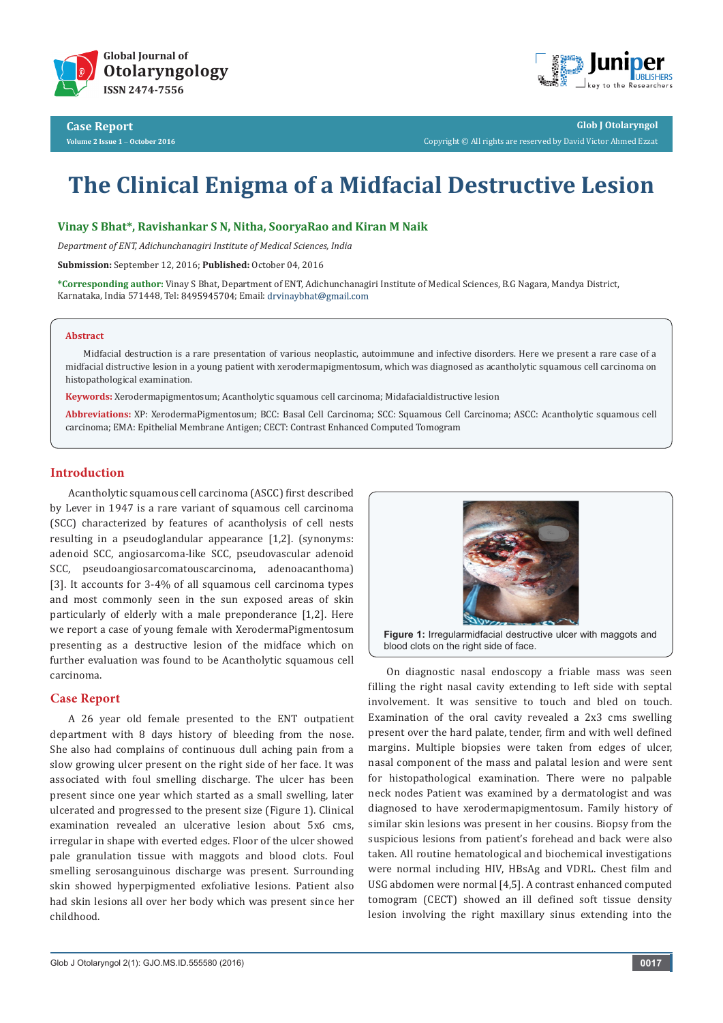



**Glob J Otolaryngol** Copyright © All rights are reserved by David Victor Ahmed Ezzat

# **The Clinical Enigma of a Midfacial Destructive Lesion**

#### **Vinay S Bhat\*, Ravishankar S N, Nitha, SooryaRao and Kiran M Naik**

*Department of ENT, Adichunchanagiri Institute of Medical Sciences, India*

**Submission:** September 12, 2016; **Published:** October 04, 2016

**\*Corresponding author:** Vinay S Bhat, Department of ENT, Adichunchanagiri Institute of Medical Sciences, B.G Nagara, Mandya District, Karnataka, India 571448, Tel: 8495945704; Email: drvinaybhat@gmail.com

#### **Abstract**

Midfacial destruction is a rare presentation of various neoplastic, autoimmune and infective disorders. Here we present a rare case of a midfacial distructive lesion in a young patient with xerodermapigmentosum, which was diagnosed as acantholytic squamous cell carcinoma on histopathological examination.

**Keywords:** Xerodermapigmentosum; Acantholytic squamous cell carcinoma; Midafacialdistructive lesion

**Abbreviations:** XP: XerodermaPigmentosum; BCC: Basal Cell Carcinoma; SCC: Squamous Cell Carcinoma; ASCC: Acantholytic squamous cell carcinoma; EMA: Epithelial Membrane Antigen; CECT: Contrast Enhanced Computed Tomogram

## **Introduction**

Acantholytic squamous cell carcinoma (ASCC) first described by Lever in 1947 is a rare variant of squamous cell carcinoma (SCC) characterized by features of acantholysis of cell nests resulting in a pseudoglandular appearance [1,2]. (synonyms: adenoid SCC, angiosarcoma-like SCC, pseudovascular adenoid SCC, pseudoangiosarcomatouscarcinoma, adenoacanthoma) [3]. It accounts for 3-4% of all squamous cell carcinoma types and most commonly seen in the sun exposed areas of skin particularly of elderly with a male preponderance [1,2]. Here we report a case of young female with XerodermaPigmentosum presenting as a destructive lesion of the midface which on further evaluation was found to be Acantholytic squamous cell carcinoma.

#### **Case Report**

A 26 year old female presented to the ENT outpatient department with 8 days history of bleeding from the nose. She also had complains of continuous dull aching pain from a slow growing ulcer present on the right side of her face. It was associated with foul smelling discharge. The ulcer has been present since one year which started as a small swelling, later ulcerated and progressed to the present size (Figure 1). Clinical examination revealed an ulcerative lesion about 5x6 cms, irregular in shape with everted edges. Floor of the ulcer showed pale granulation tissue with maggots and blood clots. Foul smelling serosanguinous discharge was present. Surrounding skin showed hyperpigmented exfoliative lesions. Patient also had skin lesions all over her body which was present since her childhood.



blood clots on the right side of face.

On diagnostic nasal endoscopy a friable mass was seen filling the right nasal cavity extending to left side with septal involvement. It was sensitive to touch and bled on touch. Examination of the oral cavity revealed a 2x3 cms swelling present over the hard palate, tender, firm and with well defined margins. Multiple biopsies were taken from edges of ulcer, nasal component of the mass and palatal lesion and were sent for histopathological examination. There were no palpable neck nodes Patient was examined by a dermatologist and was diagnosed to have xerodermapigmentosum. Family history of similar skin lesions was present in her cousins. Biopsy from the suspicious lesions from patient's forehead and back were also taken. All routine hematological and biochemical investigations were normal including HIV, HBsAg and VDRL. Chest film and USG abdomen were normal [4,5]. A contrast enhanced computed tomogram (CECT) showed an ill defined soft tissue density lesion involving the right maxillary sinus extending into the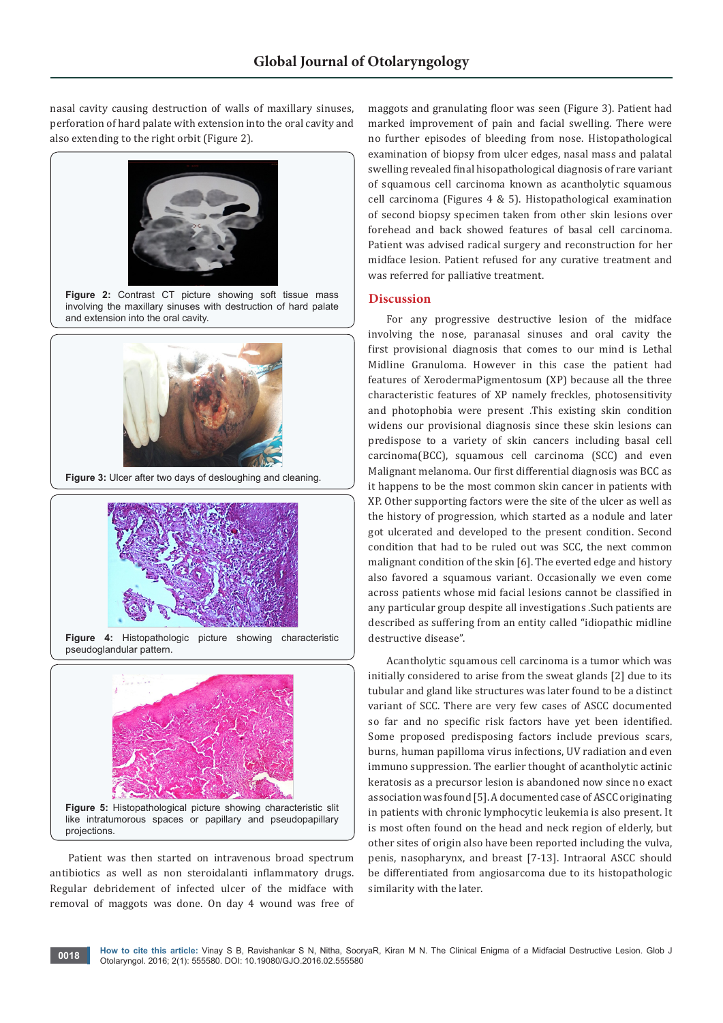nasal cavity causing destruction of walls of maxillary sinuses, perforation of hard palate with extension into the oral cavity and also extending to the right orbit (Figure 2).



Patient was then started on intravenous broad spectrum antibiotics as well as non steroidalanti inflammatory drugs. Regular debridement of infected ulcer of the midface with removal of maggots was done. On day 4 wound was free of maggots and granulating floor was seen (Figure 3). Patient had marked improvement of pain and facial swelling. There were no further episodes of bleeding from nose. Histopathological examination of biopsy from ulcer edges, nasal mass and palatal swelling revealed final hisopathological diagnosis of rare variant of squamous cell carcinoma known as acantholytic squamous cell carcinoma (Figures 4 & 5). Histopathological examination of second biopsy specimen taken from other skin lesions over forehead and back showed features of basal cell carcinoma. Patient was advised radical surgery and reconstruction for her midface lesion. Patient refused for any curative treatment and was referred for palliative treatment.

#### **Discussion**

For any progressive destructive lesion of the midface involving the nose, paranasal sinuses and oral cavity the first provisional diagnosis that comes to our mind is Lethal Midline Granuloma. However in this case the patient had features of XerodermaPigmentosum (XP) because all the three characteristic features of XP namely freckles, photosensitivity and photophobia were present .This existing skin condition widens our provisional diagnosis since these skin lesions can predispose to a variety of skin cancers including basal cell carcinoma(BCC), squamous cell carcinoma (SCC) and even Malignant melanoma. Our first differential diagnosis was BCC as it happens to be the most common skin cancer in patients with XP. Other supporting factors were the site of the ulcer as well as the history of progression, which started as a nodule and later got ulcerated and developed to the present condition. Second condition that had to be ruled out was SCC, the next common malignant condition of the skin [6]. The everted edge and history also favored a squamous variant. Occasionally we even come across patients whose mid facial lesions cannot be classified in any particular group despite all investigations .Such patients are described as suffering from an entity called "idiopathic midline destructive disease".

Acantholytic squamous cell carcinoma is a tumor which was initially considered to arise from the sweat glands [2] due to its tubular and gland like structures was later found to be a distinct variant of SCC. There are very few cases of ASCC documented so far and no specific risk factors have yet been identified. Some proposed predisposing factors include previous scars, burns, human papilloma virus infections, UV radiation and even immuno suppression. The earlier thought of acantholytic actinic keratosis as a precursor lesion is abandoned now since no exact association was found [5]. A documented case of ASCC originating in patients with chronic lymphocytic leukemia is also present. It is most often found on the head and neck region of elderly, but other sites of origin also have been reported including the vulva, penis, nasopharynx, and breast [7-13]. Intraoral ASCC should be differentiated from angiosarcoma due to its histopathologic similarity with the later.